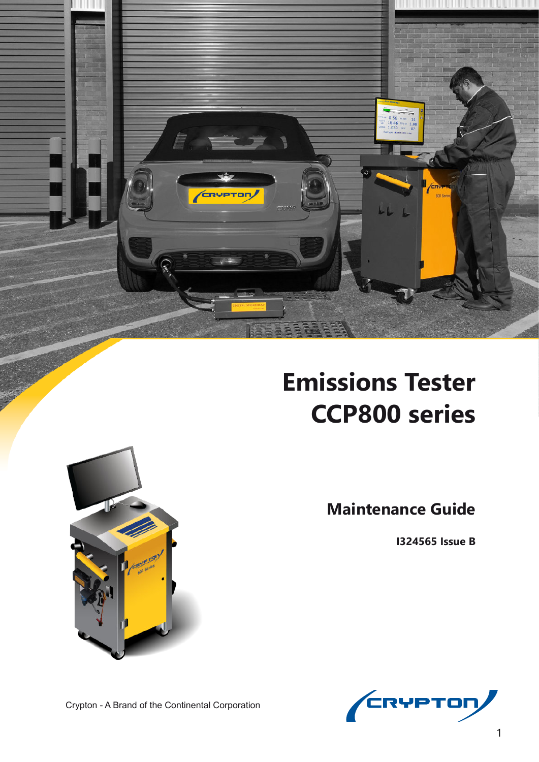

# **Emissions Tester CCP800 series**



**I324565 Issue B**





Crypton - A Brand of the Continental Corporation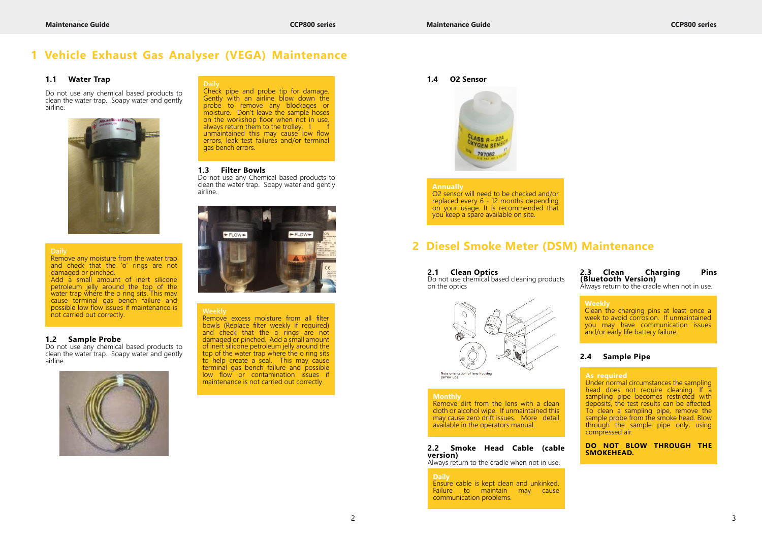#### **2.1 Clean Optics**

Do not use chemical based cleaning products on the optics



Note orientation of lens housing<br>(arrow up)

#### **2.2 Smoke Head Cable (cable version)**

Always return to the cradle when not in use.

#### **2.3 Clean Charging Pins (Bluetooth Version)**

Always return to the cradle when not in use.

#### **2.4 Sample Pipe**

#### **Weekly**

Clean the charging pins at least once a week to avoid corrosion. If unmaintained you may have communication issues and/or early life battery failure.

#### **Daily**

Ensure cable is kept clean and unkinked. Failure to maintain may cause communication problems.

#### **Monthly**

Remove dirt from the lens with a clean cloth or alcohol wipe. If unmaintained this may cause zero drift issues. More detail available in the operators manual.

## **1 Vehicle Exhaust Gas Analyser (VEGA) Maintenance**

Add a small amount of inert silicone petroleum jelly around the top of the water trap where the o ring sits. This may cause terminal gas bench failure and possible low flow issues if maintenance is possible low liow issues if mail tenance is **Weekly**<br>not carried out correctly.

#### **1.1 Water Trap**

Do not use any chemical based products to clean the water trap. Soapy water and gently airline.



#### **1.2 Sample Probe**

Do not use any chemical based products to clean the water trap. Soapy water and gently airline.



#### **1.3 Filter Bowls**

Do not use any Chemical based products to clean the water trap. Soapy water and gently airline.



#### **Daily**

Check pipe and probe tip for damage. Gently with an airline blow down the probe to remove any blockages or moisture. Don't leave the sample hoses on the workshop floor when not in use, always return them to the trolley. I unmaintained this may cause low flow errors, leak test failures and/or terminal gas bench errors.

Remove any moisture from the water trap and check that the 'o' rings are not damaged or pinched.

> Remove excess moisture from all filter bowls (Replace filter weekly if required) and check that the o rings are not damaged or pinched. Add a small amount of inert silicone petroleum jelly around the top of the water trap where the o ring sits to help create a seal. This may cause terminal gas bench failure and possible low flow or contamination issues if maintenance is not carried out correctly.

#### **Annually**

O2 sensor will need to be checked and/or replaced every 6 - 12 months depending on your usage. It is recommended that you keep a spare available on site.

## **2 Diesel Smoke Meter (DSM) Maintenance**

#### **As required**

Under normal circumstances the sampling head does not require cleaning. If a sampling pipe becomes restricted with deposits, the test results can be affected. To clean a sampling pipe, remove the sample probe from the smoke head. Blow through the sample pipe only, using compressed air.

**DO NOT BLOW THROUGH THE SMOKEHEAD.**

#### **1.4 O2 Sensor**

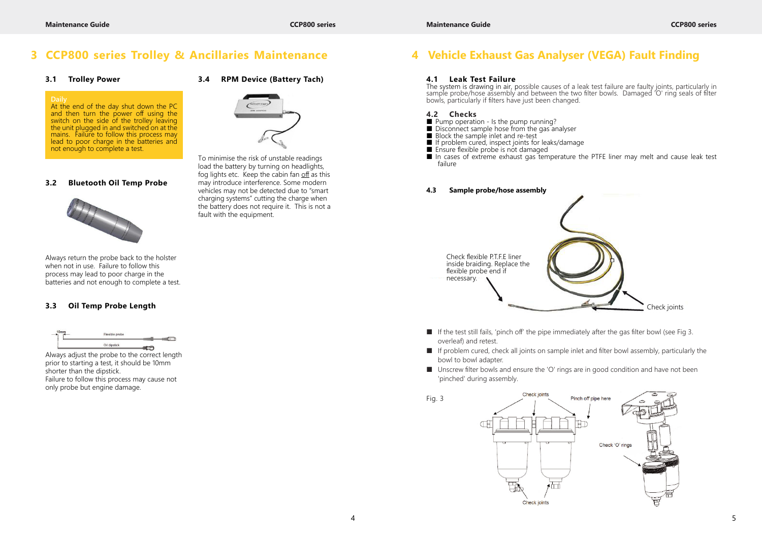■ In cases of extreme exhaust gas temperature the PTFE liner may melt and cause leak test

### **3 CCP800 series Trolley & Ancillaries Maintenance**

#### **3.1 Trolley Power**

#### **3.2 Bluetooth Oil Temp Probe**



Always return the probe back to the holster when not in use. Failure to follow this process may lead to poor charge in the batteries and not enough to complete a test.

### **3.3 Oil Temp Probe Length**



Always adjust the probe to the correct length prior to starting a test, it should be 10mm shorter than the dipstick. Failure to follow this process may cause not only probe but engine damage.

### **3.4 RPM Device (Battery Tach)**



To minimise the risk of unstable readings load the battery by turning on headlights, fog lights etc. Keep the cabin fan off as this may introduce interference. Some modern vehicles may not be detected due to "smart charging systems" cutting the charge when the battery does not require it. This is not a fault with the equipment.

- $\blacksquare$  If the test still fails, 'pinch off' the pipe immediately after the gas filter bowl (see Fig 3. overleaf) and retest.
- If problem cured, check all joints on sample inlet and filter bowl assembly, particularly the bowl to bowl adapter.
- Unscrew filter bowls and ensure the 'O' rings are in good condition and have not been 'pinched' during assembly.

#### **Daily**

At the end of the day shut down the PC and then turn the power off using the switch on the side of the trolley leaving the unit plugged in and switched on at the mains. Failure to follow this process may lead to poor charge in the batteries and not enough to complete a test.

- Pump operation Is the pump running?
- Disconnect sample hose from the gas analyser
- Block the sample inlet and re-test
- If problem cured, inspect joints for leaks/damage
- Ensure flexible probe is not damaged
- failure

## **4 Vehicle Exhaust Gas Analyser (VEGA) Fault Finding**

#### **4.1 Leak Test Failure**

The system is drawing in air, possible causes of a leak test failure are faulty joints, particularly in sample probe/hose assembly and between the two filter bowls. Damaged 'O' ring seals of filter bowls, particularly if filters have just been changed.

#### **4.2 Checks**



#### **4.3 Sample probe/hose assembly**

Fig. 3

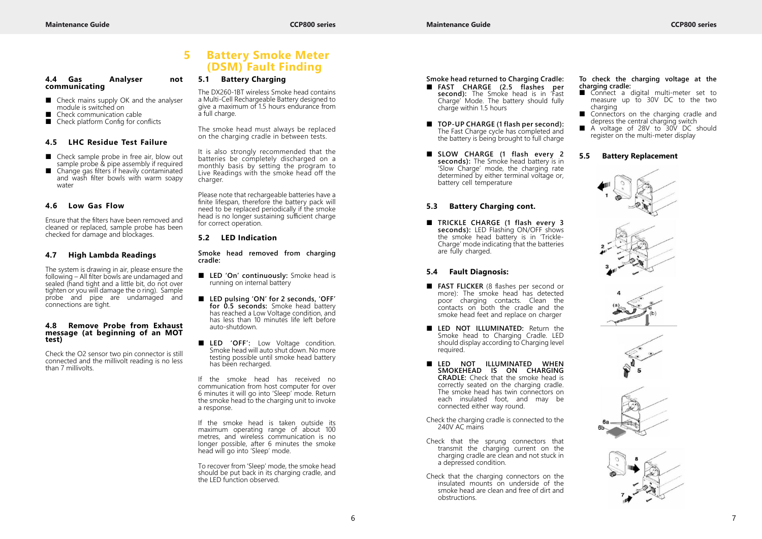#### **4.4 Gas Analyser not communicating**

- Check mains supply OK and the analyser module is switched on
- Check communication cable<br>■ Check platform Config for co
- Check platform Config for conflicts

- Check sample probe in free air, blow out sample probe & pipe assembly if required
- Change gas filters if heavily contaminated and wash filter bowls with warm soapy water

#### **4.5 LHC Residue Test Failure**

#### **4.6 Low Gas Flow**

Ensure that the filters have been removed and cleaned or replaced, sample probe has been checked for damage and blockages.

#### **4.7 High Lambda Readings**

The smoke head must always be replaced on the charging cradle in between tests.

The system is drawing in air, please ensure the following – All filter bowls are undamaged and sealed (hand tight and a little bit, do not over tighten or you will damage the o ring). Sample probe and pipe are undamaged and connections are tight.

#### **4.8 Remove Probe from Exhaust message (at beginning of an MOT test)**

Check the O2 sensor two pin connector is still connected and the millivolt reading is no less than 7 millivolts.

#### **5.1 Battery Charging**

The DX260-1BT wireless Smoke head contains a Multi-Cell Rechargeable Battery designed to give a maximum of 1.5 hours endurance from a full charge.

It is also strongly recommended that the batteries be completely discharged on a monthly basis by setting the program to Live Readings with the smoke head off the charger.

Please note that rechargeable batteries have a finite lifespan, therefore the battery pack will need to be replaced periodically if the smoke head is no longer sustaining sufficient charge for correct operation.

■ TRICKLE CHARGE (1 flash every 3 **seconds):** LED Flashing ON/OFF shows the smoke head battery is in 'Trickle-Charge' mode indicating that the batteries are fully charged.

#### **5.2 LED Indication**

**Smoke head removed from charging cradle:**

- **LED 'On' continuously:** Smoke head is running on internal battery
- **LED pulsing 'ON' for 2 seconds, 'OFF' for 0.5 seconds:** Smoke head battery has reached a Low Voltage condition, and has less than 10 minutes life left before auto-shutdown.
- LED 'OFF': Low Voltage condition. Smoke head will auto shut down. No more testing possible until smoke head battery has been recharged.
- **FAST FLICKER** (8 flashes per second or more): The smoke head has detected poor charging contacts. Clean the contacts on both the cradle and the smoke head feet and replace on charger
- LED NOT ILLUMINATED: Return the Smoke head to Charging Cradle. LED should display according to Charging level required.
- **LED NOT ILLUMINATED WHEN SMOKEHEAD IS ON CHARGING CRADLE:** Check that the smoke head is correctly seated on the charging cradle. The smoke head has twin connectors on each insulated foot, and may be connected either way round.
- Check the charging cradle is connected to the 240V AC mains
- Check that the sprung connectors that transmit the charging current on the charging cradle are clean and not stuck in a depressed condition.
- Check that the charging connectors on the insulated mounts on underside of the smoke head are clean and free of dirt and obstructions.

If the smoke head has received no communication from host computer for over 6 minutes it will go into 'Sleep' mode. Return the smoke head to the charging unit to invoke a response.

- Connect a digital multi-meter set to measure up to 30V DC to the two charging
- Connectors on the charging cradle and depress the central charging switch
- A voltage of 28V to 30V DC should register on the multi-meter display

If the smoke head is taken outside its maximum operating range of about 100 metres, and wireless communication is no longer possible, after 6 minutes the smoke head will go into 'Sleep' mode.

To recover from 'Sleep' mode, the smoke head should be put back in its charging cradle, and the LED function observed.

### **5 Battery Smoke Meter (DSM) Fault Finding**

- **Smoke head returned to Charging Cradle:**
- **FAST CHARGE (2.5 flashes per** second): The Smoke head is in 'Fast Charge' Mode. The battery should fully charge within 1.5 hours
- **TOP-UP CHARGE (1 flash per second):** The Fast Charge cycle has completed and the battery is being brought to full charge
- **SLOW CHARGE (1 flash every 2 seconds):** The Smoke head battery is in 'Slow Charge' mode, the charging rate determined by either terminal voltage or, battery cell temperature

#### **5.3 Battery Charging cont.**

#### **5.4 Fault Diagnosis:**

#### **To check the charging voltage at the charging cradle:**

#### **5.5 Battery Replacement**

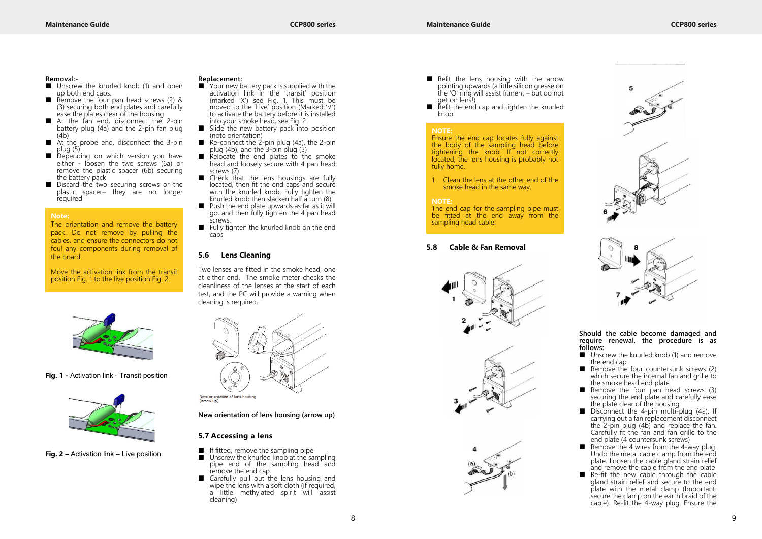

#### **Removal:-**

- Unscrew the knurled knob (1) and open up both end caps.
- Remove the four pan head screws (2) & (3) securing both end plates and carefully ease the plates clear of the housing
- At the fan end, disconnect the 2-pin battery plug (4a) and the 2-pin fan plug (4b)
- At the probe end, disconnect the 3-pin plug (5)
- Depending on which version you have either - loosen the two screws (6a) or remove the plastic spacer (6b) securing the battery pack
- Discard the two securing screws or the plastic spacer– they are no longer required



**Fig. 1 -** Activation link - Transit position



**Fig. 2 –** Activation link – Live position

### **Replacement:**<br> **M** Your new b.

- If fitted, remove the sampling pipe<br>■ Unscrew the knurled knob at the sa
- Unscrew the knurled knob at the sampling pipe end of the sampling head and remove the end cap.
- Carefully pull out the lens housing and wipe the lens with a soft cloth (if required, a little methylated spirit will assist cleaning)
- Your new battery pack is supplied with the activation link in the 'transit' position (marked 'X') see Fig. 1. This must be moved to the 'Live' position (Marked '√') to activate the battery before it is installed into your smoke head, see Fig. 2
- Slide the new battery pack into position (note orientation)
- Re-connect the 2-pin plug (4a), the 2-pin plug (4b), and the 3-pin plug (5)
- Relocate the end plates to the smoke head and loosely secure with 4 pan head screws (7)
- Check that the lens housings are fully located, then fit the end caps and secure with the knurled knob. Fully tighten the knurled knob then slacken half a turn (8)
- Push the end plate upwards as far as it will go, and then fully tighten the 4 pan head screws.
- Fully tighten the knurled knob on the end caps
- Refit the lens housing with the arrow pointing upwards (a little silicon grease on the 'O' ring will assist fitment – but do not get on lens!)
- Refit the end cap and tighten the knurled knob

#### **5.6 Lens Cleaning**

Two lenses are fitted in the smoke head, one at either end. The smoke meter checks the cleanliness of the lenses at the start of each test, and the PC will provide a warning when cleaning is required.



Note orientation of lens housing (arrow up)

- Unscrew the knurled knob (1) and remove the end cap
- Remove the four countersunk screws (2) which secure the internal fan and grille to the smoke head end plate
- Remove the four pan head screws  $(3)$ securing the end plate and carefully ease the plate clear of the housing
- Disconnect the 4-pin multi-plug (4a). If carrying out a fan replacement disconnect the 2-pin plug (4b) and replace the fan. Carefully fit the fan and fan grille to the end plate (4 countersunk screws)
- $\blacksquare$  Remove the 4 wires from the 4-way plug. Undo the metal cable clamp from the end plate. Loosen the cable gland strain relief and remove the cable from the end plate
- Re-fit the new cable through the cable gland strain relief and secure to the end plate with the metal clamp (Important: secure the clamp on the earth braid of the cable). Re-fit the 4-way plug. Ensure the

#### **New orientation of lens housing (arrow up)**

#### **5.7 Accessing a lens**

#### **Note:**

The orientation and remove the battery pack. Do not remove by pulling the cables, and ensure the connectors do not foul any components during removal of the board.

Move the activation link from the transit position Fig. 1 to the live position Fig. 2.

### **5.8 Cable & Fan Removal**



#### **Should the cable become damaged and require renewal, the procedure is as follows:**

#### **NOTE:**

Ensure the end cap locates fully against the body of the sampling head before tightening the knob. If not correctly located, the lens housing is probably not fully home.

1. Clean the lens at the other end of the smoke head in the same way.

#### **NOTE:**

The end cap for the sampling pipe must be fitted at the end away from the sampling head cable.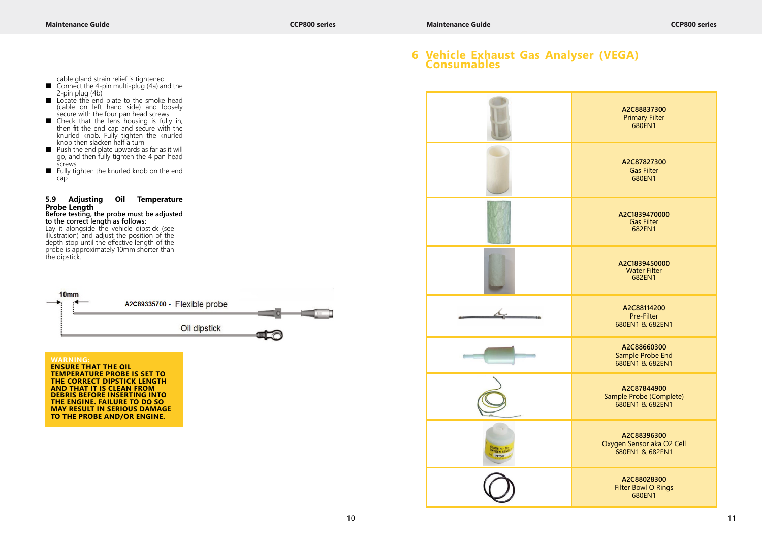- cable gland strain relief is tightened
- Connect the 4-pin multi-plug (4a) and the 2-pin plug (4b)
- Locate the end plate to the smoke head (cable on left hand side) and loosely secure with the four pan head screws
- Check that the lens housing is fully in, then fit the end cap and secure with the knurled knob. Fully tighten the knurled knob then slacken half a turn
- Push the end plate upwards as far as it will go, and then fully tighten the 4 pan head screws
- Fully tighten the knurled knob on the end cap

#### **5.9 Adjusting Oil Temperature Probe Length**

#### **Before testing, the probe must be adjusted to the correct length as follows:**

Lay it alongside the vehicle dipstick (see illustration) and adjust the position of the depth stop until the effective length of the probe is approximately 10mm shorter than the dipstick.



**TEMPERATURE PROBE IS SET TO THE CORRECT DIPSTICK LENGTH AND THAT IT IS CLEAN FROM DEBRIS BEFORE INSERTING INTO THE ENGINE. FAILURE TO DO SO MAY RESULT IN SERIOUS DAMAGE TO THE PROBE AND/OR ENGINE.**



### **6 Vehicle Exhaust Gas Analyser (VEGA) Consumables**

**A2C88837300** Primary Filter 680EN1

**A2C87827300** Gas Filter 680EN1

**A2C1839470000** Gas Filter 682EN1

**A2C1839450000** Water Filter 682EN1

**A2C88114200** Pre-Filter 680EN1 & 682EN1

**A2C88660300** Sample Probe End 680EN1 & 682EN1

**A2C87844900** Sample Probe (Complete) 680EN1 & 682EN1

**A2C88396300** Oxygen Sensor aka O2 Cell 680EN1 & 682EN1

> **A2C88028300** Filter Bowl O Rings 680EN1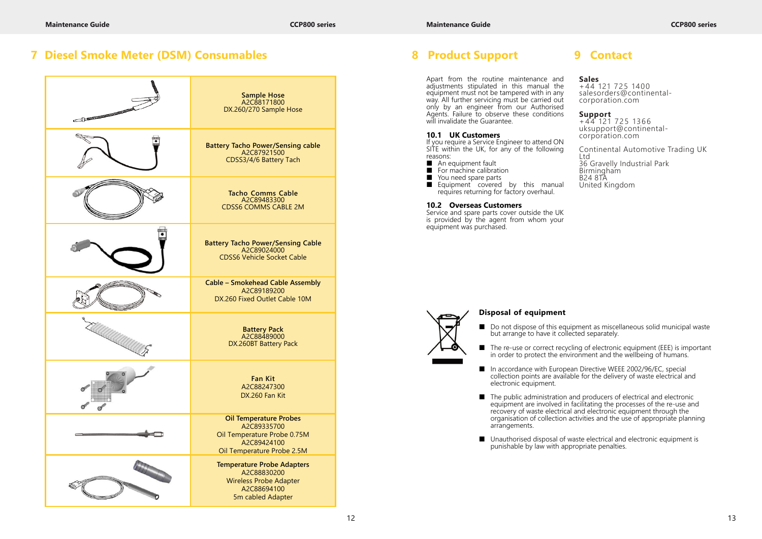Apart from the routine maintenance and adjustments stipulated in this manual the equipment must not be tampered with in any way. All further servicing must be carried out only by an engineer from our Authorised Agents. Failure to observe these conditions will invalidate the Guarantee.

- An equipment fault<br>■ For machine calibrat
- For machine calibration
- You need spare parts<br>■ Equipment covered
- Equipment covered by this manual requires returning for factory overhaul.

#### **10.1 UK Customers**

If you require a Service Engineer to attend ON SITE within the UK, for any of the following reasons:

+ 44 121 725 1400 salesorders@continentalcorporation.com

#### **10.2 Overseas Customers**

Service and spare parts cover outside the UK is provided by the agent from whom your equipment was purchased.

#### **Sales**

**Support** + 44 121 725 1366 uksupport@continentalcorporation.com

Continental Automotive Trading UK Ltd 36 Gravelly Industrial Park Birmingham B24 8TA United Kingdom

■ Do not dispose of this equipment as miscellaneous solid municipal waste

■ The re-use or correct recycling of electronic equipment (EEE) is important in order to protect the environment and the wellbeing of humans.

■ In accordance with European Directive WEEE 2002/96/EC, special collection points are available for the delivery of waste electrical and

■ The public administration and producers of electrical and electronic equipment are involved in facilitating the processes of the re-use and recovery of waste electrical and electronic equipment through the organisation of collection activities and the use of appropriate planning

■ Unauthorised disposal of waste electrical and electronic equipment is

| <b>The Committee of the Committee of the Committee of the Committee of the Committee of the Committee of the Committee of the Committee of the Committee of the Committee of the Committee of the Committee of the Committee of </b> | Sample Hose<br>A2C88171800<br>DX.260/270 Sample Hose                                                                     |
|--------------------------------------------------------------------------------------------------------------------------------------------------------------------------------------------------------------------------------------|--------------------------------------------------------------------------------------------------------------------------|
|                                                                                                                                                                                                                                      | Battery Tacho Power/Sensing cable<br>A2C87921500<br>CDSS3/4/6 Battery Tach                                               |
|                                                                                                                                                                                                                                      | <b>Tacho Comms Cable</b><br>A2C89483300<br><b>CDSS6 COMMS CABLE 2M</b>                                                   |
|                                                                                                                                                                                                                                      | <b>Battery Tacho Power/Sensing Cable</b><br>A2C89024000<br><b>CDSS6 Vehicle Socket Cable</b>                             |
|                                                                                                                                                                                                                                      | <b>Cable - Smokehead Cable Assembly</b><br>A2C89189200<br>DX.260 Fixed Outlet Cable 10M                                  |
|                                                                                                                                                                                                                                      | <b>Battery Pack</b><br>A2C88489000<br>DX.260BT Battery Pack                                                              |
|                                                                                                                                                                                                                                      | <b>Fan Kit</b><br>A2C88247300<br>DX.260 Fan Kit                                                                          |
|                                                                                                                                                                                                                                      | <b>Oil Temperature Probes</b><br>A2C89335700<br>Oil Temperature Probe 0.75M<br>A2C89424100<br>Oil Temperature Probe 2.5M |
|                                                                                                                                                                                                                                      | <b>Temperature Probe Adapters</b><br>A2C88830200<br><b>Wireless Probe Adapter</b><br>A2C88694100<br>5m cabled Adapter    |

### **7 Diesel Smoke Meter (DSM) Consumables 8 Product Support**

### **Disposal of equipment**

- but arrange to have it collected separately.
- 
- electronic equipment.
- arrangements.
- punishable by law with appropriate penalties.

## **9 Contact**